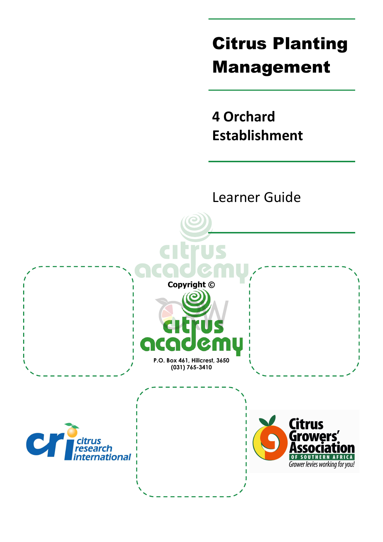# Citrus Planting Management

**4 Orchard Establishment** 

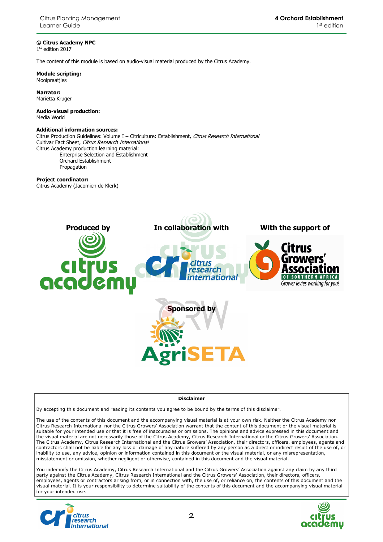#### **© Citrus Academy NPC**

1 st edition 2017

The content of this module is based on audio-visual material produced by the Citrus Academy.

**Module scripting:**  Mooipraatjies

**Narrator:**  Mariëtta Kruger

**Audio-visual production:**  Media World

#### **Additional information sources:**

Citrus Production Guidelines: Volume I - Citriculture: Establishment, Citrus Research International Cultivar Fact Sheet, Citrus Research International Citrus Academy production learning material: Enterprise Selection and Establishment Orchard Establishment

Propagation

#### **Project coordinator:**

Citrus Academy (Jacomien de Klerk)



#### **Disclaimer**

By accepting this document and reading its contents you agree to be bound by the terms of this disclaimer.

The use of the contents of this document and the accompanying visual material is at your own risk. Neither the Citrus Academy nor Citrus Research International nor the Citrus Growers' Association warrant that the content of this document or the visual material is suitable for your intended use or that it is free of inaccuracies or omissions. The opinions and advice expressed in this document and the visual material are not necessarily those of the Citrus Academy, Citrus Research International or the Citrus Growers' Association. The Citrus Academy, Citrus Research International and the Citrus Growers' Association, their directors, officers, employees, agents and contractors shall not be liable for any loss or damage of any nature suffered by any person as a direct or indirect result of the use of, or inability to use, any advice, opinion or information contained in this document or the visual material, or any misrepresentation, misstatement or omission, whether negligent or otherwise, contained in this document and the visual material.

You indemnify the Citrus Academy, Citrus Research International and the Citrus Growers' Association against any claim by any third party against the Citrus Academy, Citrus Research International and the Citrus Growers' Association, their directors, officers, employees, agents or contractors arising from, or in connection with, the use of, or reliance on, the contents of this document and the visual material. It is your responsibility to determine suitability of the contents of this document and the accompanying visual material for your intended use.



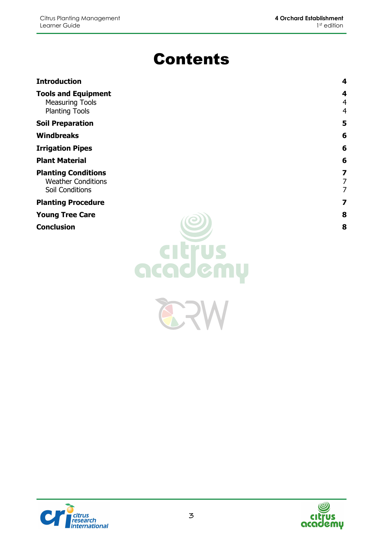## Contents

| <b>Introduction</b>                                                           | 4                        |
|-------------------------------------------------------------------------------|--------------------------|
| <b>Tools and Equipment</b><br><b>Measuring Tools</b><br><b>Planting Tools</b> | 4<br>4<br>$\overline{4}$ |
| <b>Soil Preparation</b>                                                       | 5                        |
| <b>Windbreaks</b>                                                             | 6                        |
| <b>Irrigation Pipes</b>                                                       | 6                        |
| <b>Plant Material</b>                                                         | 6                        |
| <b>Planting Conditions</b>                                                    | 7                        |
| <b>Weather Conditions</b>                                                     | 7                        |
| <b>Soil Conditions</b>                                                        | 7                        |
| <b>Planting Procedure</b>                                                     | 7                        |
| <b>Young Tree Care</b>                                                        | 8                        |



82



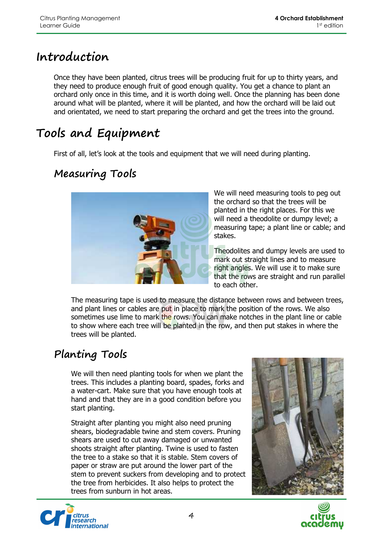#### **Introduction**

Once they have been planted, citrus trees will be producing fruit for up to thirty years, and they need to produce enough fruit of good enough quality. You get a chance to plant an orchard only once in this time, and it is worth doing well. Once the planning has been done around what will be planted, where it will be planted, and how the orchard will be laid out and orientated, we need to start preparing the orchard and get the trees into the ground.

### **Tools and Equipment**

First of all, let's look at the tools and equipment that we will need during planting.

#### **Measuring Tools**



We will need measuring tools to peg out the orchard so that the trees will be planted in the right places. For this we will need a theodolite or dumpy level; a measuring tape; a plant line or cable; and stakes.

Theodolites and dumpy levels are used to mark out straight lines and to measure right angles. We will use it to make sure that the rows are straight and run parallel to each other.

The measuring tape is used to measure the distance between rows and between trees, and plant lines or cables are put in place to mark the position of the rows. We also sometimes use lime to mark the rows. You can make notches in the plant line or cable to show where each tree will be planted in the row, and then put stakes in where the trees will be planted.

#### **Planting Tools**

We will then need planting tools for when we plant the trees. This includes a planting board, spades, forks and a water-cart. Make sure that you have enough tools at hand and that they are in a good condition before you start planting.

Straight after planting you might also need pruning shears, biodegradable twine and stem covers. Pruning shears are used to cut away damaged or unwanted shoots straight after planting. Twine is used to fasten the tree to a stake so that it is stable. Stem covers of paper or straw are put around the lower part of the stem to prevent suckers from developing and to protect the tree from herbicides. It also helps to protect the trees from sunburn in hot areas.





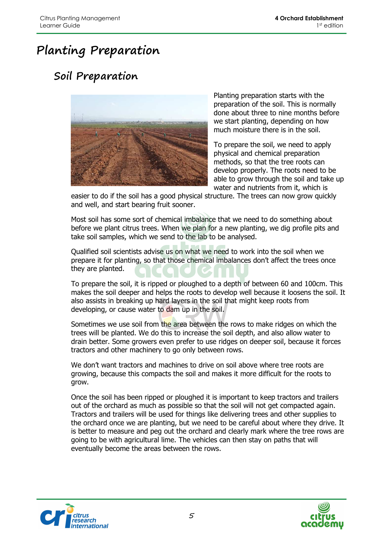### **Planting Preparation**

#### **Soil Preparation**



Planting preparation starts with the preparation of the soil. This is normally done about three to nine months before we start planting, depending on how much moisture there is in the soil.

To prepare the soil, we need to apply physical and chemical preparation methods, so that the tree roots can develop properly. The roots need to be able to grow through the soil and take up water and nutrients from it, which is

easier to do if the soil has a good physical structure. The trees can now grow quickly and well, and start bearing fruit sooner.

Most soil has some sort of chemical imbalance that we need to do something about before we plant citrus trees. When we plan for a new planting, we dig profile pits and take soil samples, which we send to the lab to be analysed.

Qualified soil scientists advise us on what we need to work into the soil when we prepare it for planting, so that those chemical imbalances don't affect the trees once they are planted.

To prepare the soil, it is ripped or ploughed to a depth of between 60 and 100cm. This makes the soil deeper and helps the roots to develop well because it loosens the soil. It also assists in breaking up hard layers in the soil that might keep roots from developing, or cause water to dam up in the soil.

Sometimes we use soil from the area between the rows to make ridges on which the trees will be planted. We do this to increase the soil depth, and also allow water to drain better. Some growers even prefer to use ridges on deeper soil, because it forces tractors and other machinery to go only between rows.

We don't want tractors and machines to drive on soil above where tree roots are growing, because this compacts the soil and makes it more difficult for the roots to grow.

Once the soil has been ripped or ploughed it is important to keep tractors and trailers out of the orchard as much as possible so that the soil will not get compacted again. Tractors and trailers will be used for things like delivering trees and other supplies to the orchard once we are planting, but we need to be careful about where they drive. It is better to measure and peg out the orchard and clearly mark where the tree rows are going to be with agricultural lime. The vehicles can then stay on paths that will eventually become the areas between the rows.



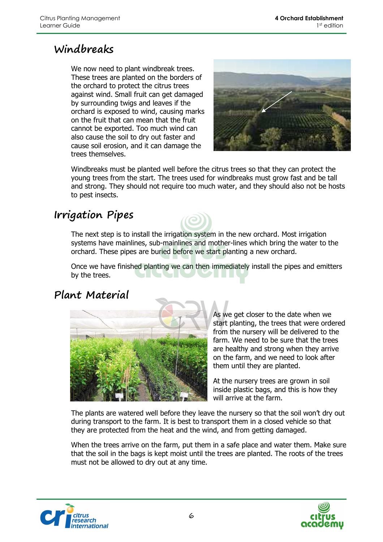#### **Windbreaks**

We now need to plant windbreak trees. These trees are planted on the borders of the orchard to protect the citrus trees against wind. Small fruit can get damaged by surrounding twigs and leaves if the orchard is exposed to wind, causing marks on the fruit that can mean that the fruit cannot be exported. Too much wind can also cause the soil to dry out faster and cause soil erosion, and it can damage the trees themselves.



Windbreaks must be planted well before the citrus trees so that they can protect the young trees from the start. The trees used for windbreaks must grow fast and be tall and strong. They should not require too much water, and they should also not be hosts to pest insects.

#### **Irrigation Pipes**

The next step is to install the irrigation system in the new orchard. Most irrigation systems have mainlines, sub-mainlines and mother-lines which bring the water to the orchard. These pipes are buried before we start planting a new orchard.

Once we have finished planting we can then immediately install the pipes and emitters by the trees.

#### **Plant Material**



As we get closer to the date when we start planting, the trees that were ordered from the nursery will be delivered to the farm. We need to be sure that the trees are healthy and strong when they arrive on the farm, and we need to look after them until they are planted.

At the nursery trees are grown in soil inside plastic bags, and this is how they will arrive at the farm.

The plants are watered well before they leave the nursery so that the soil won't dry out during transport to the farm. It is best to transport them in a closed vehicle so that they are protected from the heat and the wind, and from getting damaged.

When the trees arrive on the farm, put them in a safe place and water them. Make sure that the soil in the bags is kept moist until the trees are planted. The roots of the trees must not be allowed to dry out at any time.



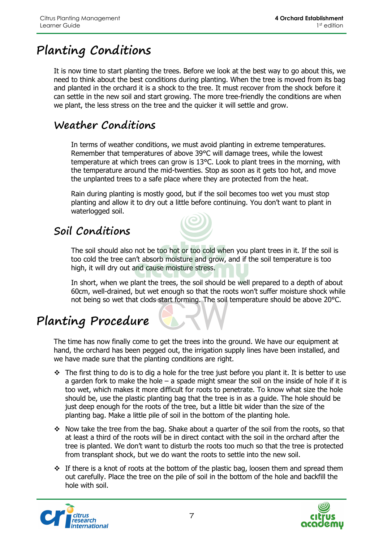### **Planting Conditions**

It is now time to start planting the trees. Before we look at the best way to go about this, we need to think about the best conditions during planting. When the tree is moved from its bag and planted in the orchard it is a shock to the tree. It must recover from the shock before it can settle in the new soil and start growing. The more tree-friendly the conditions are when we plant, the less stress on the tree and the quicker it will settle and grow.

#### **Weather Conditions**

In terms of weather conditions, we must avoid planting in extreme temperatures. Remember that temperatures of above 39°C will damage trees, while the lowest temperature at which trees can grow is 13°C. Look to plant trees in the morning, with the temperature around the mid-twenties. Stop as soon as it gets too hot, and move the unplanted trees to a safe place where they are protected from the heat.

Rain during planting is mostly good, but if the soil becomes too wet you must stop planting and allow it to dry out a little before continuing. You don't want to plant in waterlogged soil.

#### **Soil Conditions**

The soil should also not be too hot or too cold when you plant trees in it. If the soil is too cold the tree can't absorb moisture and grow, and if the soil temperature is too high, it will dry out and cause moisture stress.

In short, when we plant the trees, the soil should be well prepared to a depth of about 60cm, well-drained, but wet enough so that the roots won't suffer moisture shock while not being so wet that clods start forming. The soil temperature should be above 20°C.

### **Planting Procedure**

The time has now finally come to get the trees into the ground. We have our equipment at hand, the orchard has been pegged out, the irrigation supply lines have been installed, and we have made sure that the planting conditions are right.

- $\div$  The first thing to do is to dig a hole for the tree just before you plant it. It is better to use a garden fork to make the hole  $-$  a spade might smear the soil on the inside of hole if it is too wet, which makes it more difficult for roots to penetrate. To know what size the hole should be, use the plastic planting bag that the tree is in as a guide. The hole should be just deep enough for the roots of the tree, but a little bit wider than the size of the planting bag. Make a little pile of soil in the bottom of the planting hole.
- Now take the tree from the bag. Shake about a quarter of the soil from the roots, so that at least a third of the roots will be in direct contact with the soil in the orchard after the tree is planted. We don't want to disturb the roots too much so that the tree is protected from transplant shock, but we do want the roots to settle into the new soil.
- $\div$  If there is a knot of roots at the bottom of the plastic bag, loosen them and spread them out carefully. Place the tree on the pile of soil in the bottom of the hole and backfill the hole with soil.